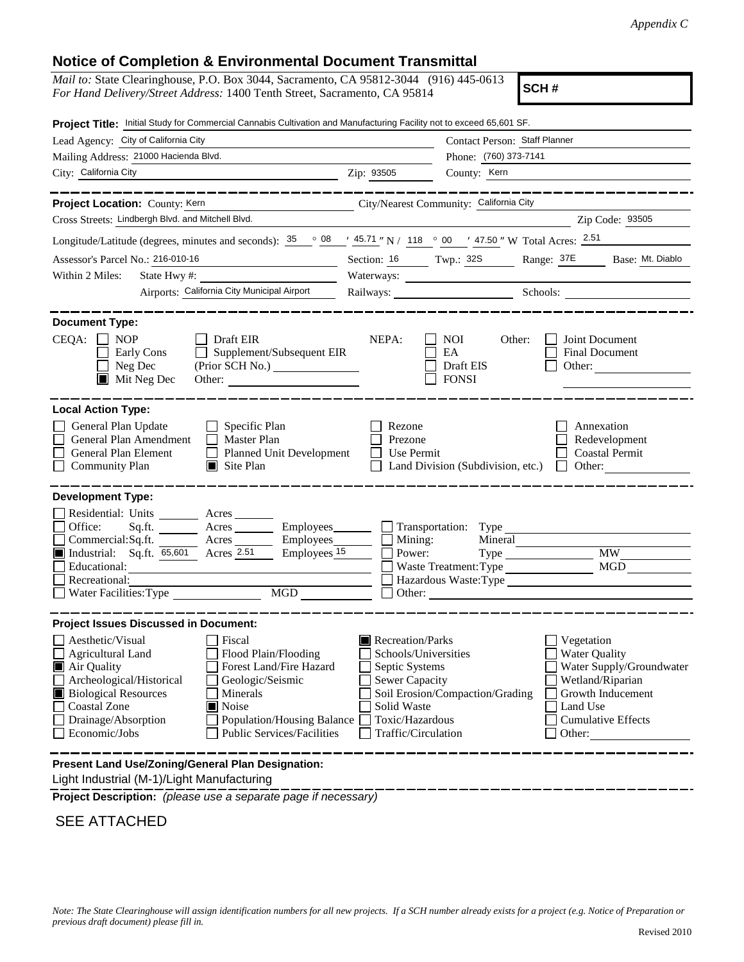## **Notice of Completion & Environmental Document Transmittal**

| Notice of Completion & Environmental Document Fransimital                                                                                                                                                                                                                                                                                                               |                                                                     |                                                                                                   |                                                                                                                                                            |  |
|-------------------------------------------------------------------------------------------------------------------------------------------------------------------------------------------------------------------------------------------------------------------------------------------------------------------------------------------------------------------------|---------------------------------------------------------------------|---------------------------------------------------------------------------------------------------|------------------------------------------------------------------------------------------------------------------------------------------------------------|--|
| <i>Mail to:</i> State Clearinghouse, P.O. Box 3044, Sacramento, CA 95812-3044 (916) 445-0613<br>SCH#<br>For Hand Delivery/Street Address: 1400 Tenth Street, Sacramento, CA 95814                                                                                                                                                                                       |                                                                     |                                                                                                   |                                                                                                                                                            |  |
| Project Title: Initial Study for Commercial Cannabis Cultivation and Manufacturing Facility not to exceed 65,601 SF.                                                                                                                                                                                                                                                    |                                                                     |                                                                                                   |                                                                                                                                                            |  |
| Lead Agency: City of California City                                                                                                                                                                                                                                                                                                                                    |                                                                     | Contact Person: Staff Planner                                                                     |                                                                                                                                                            |  |
| Mailing Address: 21000 Hacienda Blvd.                                                                                                                                                                                                                                                                                                                                   | Phone: (760) 373-7141                                               |                                                                                                   |                                                                                                                                                            |  |
| City: California City<br><u>2ip: 93505</u>                                                                                                                                                                                                                                                                                                                              |                                                                     | County: Kern                                                                                      |                                                                                                                                                            |  |
| _______________<br>City/Nearest Community: California City<br>Project Location: County: Kern                                                                                                                                                                                                                                                                            |                                                                     |                                                                                                   |                                                                                                                                                            |  |
| Cross Streets: Lindbergh Blvd. and Mitchell Blvd.                                                                                                                                                                                                                                                                                                                       |                                                                     | <u> 1989 - Johann Barn, mars an t-Amerikaansk kommunister (</u>                                   | Zip Code: 93505                                                                                                                                            |  |
| Longitude/Latitude (degrees, minutes and seconds): $\frac{35}{25}$ $\frac{08}{145.71}$ N / 118 $\degree$ 00 $\degree$ 47.50 " W Total Acres: $\frac{2.51}{2}$                                                                                                                                                                                                           |                                                                     |                                                                                                   |                                                                                                                                                            |  |
| Assessor's Parcel No.: 216-010-16<br><u> 1989 - Johann Barn, mars et al. (</u>                                                                                                                                                                                                                                                                                          |                                                                     |                                                                                                   | Section: 16 Twp.: 32S Range: 37E Base: Mt. Diablo                                                                                                          |  |
| Within 2 Miles:                                                                                                                                                                                                                                                                                                                                                         |                                                                     |                                                                                                   |                                                                                                                                                            |  |
| Airports: California City Municipal Airport                                                                                                                                                                                                                                                                                                                             |                                                                     |                                                                                                   | Railways: Schools: Schools:                                                                                                                                |  |
|                                                                                                                                                                                                                                                                                                                                                                         |                                                                     |                                                                                                   |                                                                                                                                                            |  |
| <b>Document Type:</b><br>$CEQA: \Box NP$<br>Draft EIR<br>$\Box$ Supplement/Subsequent EIR<br>Early Cons<br>Neg Dec<br>Mit Neg Dec<br>Other:                                                                                                                                                                                                                             | NEPA:                                                               | NOI<br>Other:<br>EA<br>Draft EIS<br><b>FONSI</b>                                                  | Joint Document<br>Final Document<br>Other:                                                                                                                 |  |
| <b>Local Action Type:</b><br>General Plan Update<br>$\Box$ Specific Plan<br>$\Box$ Master Plan<br>General Plan Amendment<br>General Plan Element<br>Planned Unit Development<br><b>Community Plan</b><br>$\blacksquare$ Site Plan                                                                                                                                       | Rezone<br>Prezone<br>$\Box$                                         | Use Permit<br>Land Division (Subdivision, etc.) $\Box$                                            | Annexation<br>Redevelopment<br><b>Coastal Permit</b><br>Other:                                                                                             |  |
| <b>Development Type:</b>                                                                                                                                                                                                                                                                                                                                                |                                                                     |                                                                                                   |                                                                                                                                                            |  |
| Residential: Units ________ Acres _______<br>Acres ___________ Employees_________<br>Office:<br>Sq.ft. $\_\_$<br>Acres Employees<br>Commercial:Sq.ft.<br>Industrial: Sq.ft. 65,601 Acres 2.51<br>Employees <sub>15</sub><br>Educational:<br>Recreational:<br>Water Facilities: Type<br><b>MGD</b>                                                                       |                                                                     | $\Box$ Transportation: Type<br>Mining:<br>Power:<br>Waste Treatment: Type<br>Other:               | Mineral<br>Type MW<br>MGD<br>Hazardous Waste:Type                                                                                                          |  |
| <b>Project Issues Discussed in Document:</b>                                                                                                                                                                                                                                                                                                                            |                                                                     |                                                                                                   |                                                                                                                                                            |  |
| Aesthetic/Visual<br>Fiscal<br><b>Agricultural Land</b><br>Flood Plain/Flooding<br>Air Quality<br>Forest Land/Fire Hazard<br>Archeological/Historical<br>Geologic/Seismic<br><b>Biological Resources</b><br>Minerals<br>Coastal Zone<br><b>■</b> Noise<br>Drainage/Absorption<br><b>Population/Housing Balance</b><br>Economic/Jobs<br><b>Public Services/Facilities</b> | Recreation/Parks<br>Septic Systems<br>Sewer Capacity<br>Solid Waste | Schools/Universities<br>Soil Erosion/Compaction/Grading<br>Toxic/Hazardous<br>Traffic/Circulation | Vegetation<br><b>Water Quality</b><br>Water Supply/Groundwater<br>Wetland/Riparian<br>Growth Inducement<br>Land Use<br><b>Cumulative Effects</b><br>Other: |  |
| Present Land Use/Zoning/General Plan Designation:                                                                                                                                                                                                                                                                                                                       |                                                                     |                                                                                                   |                                                                                                                                                            |  |

l Light Industrial (M-1)/Light Manufacturing

**Project Description:** *(please use a separate page if necessary)*

## SEE ATTACHED